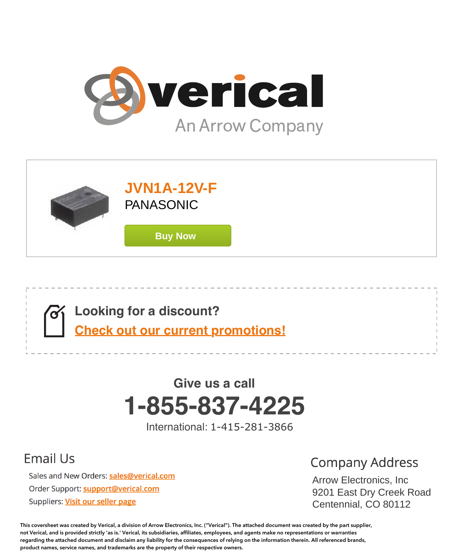





# **1-855-837-4225 Give us a call**

International: 1-415-281-3866

# **Email Us**

Sales and New Orders: sales@verical.com Order Support: support@verical.com Suppliers: Visit our seller page

# **Company Address**

Arrow Electronics, Arrow Electronics, Inc were Elbourner 9201 East Dry Creek Road Centennial, CO 80112

**This coversheet was created by Verical, a division of Arrow Electronics, Inc. ("Verical"). The attached document was created by the part supplier, not Verical, and is provided strictly 'as is.' Verical, its subsidiaries, affiliates, employees, and agents make no representations or warranties regarding the attached document and disclaim any liability for the consequences of relying on the information therein. All referenced brands, product names, service names, and trademarks are the property of their respective owners.**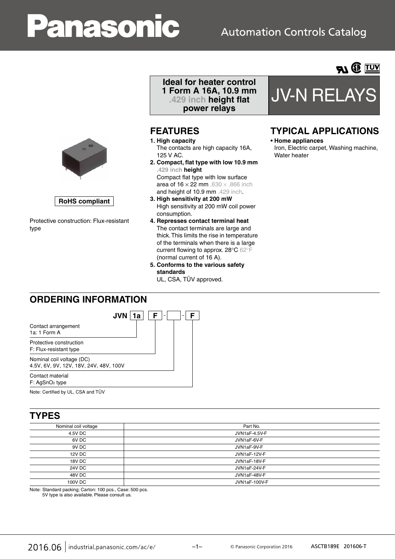# anasoni

# **Automation Controls Catalog**



**RoHS compliant**

Protective construction: Flux-resistant type

#### **Ideal for heater control 1 Form A 16A, 10.9 mm .429 inch height flat power relays**

### **FEATURES**

- **1. High capacity** The contacts are high capacity 16A, 125 V AC.
- **2. Compact, flat type with low 10.9 mm .429 inch height** Compact flat type with low surface area of  $16 \times 22$  mm .630  $\times$  .866 inch and height of 10.9 mm .429 inch.
- **3. High sensitivity at 200 mW** High sensitivity at 200 mW coil power consumption.
- **4. Represses contact terminal heat** The contact terminals are large and thick. This limits the rise in temperature of the terminals when there is a large current flowing to approx. 28°C 62°F (normal current of 16 A).
- **5. Conforms to the various safety standards**
	- UL, CSA, TÜV approved.



## **TYPICAL APPLICATIONS**

#### **• Home appliances**

Iron, Electric carpet, Washing machine, Water heater

### **ORDERING INFORMATION**



Note: Certified by UL, CSA and TÜV

### **TYPES**

| Nominal coil voltage | Part No.      |
|----------------------|---------------|
| 4.5V DC              | JVN1aF-4.5V-F |
| 6V DC                | JVN1aF-6V-F   |
| 9V DC                | JVN1aF-9V-F   |
| 12V DC               | JVN1aF-12V-F  |
| 18V DC               | JVN1aF-18V-F  |
| 24V DC               | JVN1aF-24V-F  |
| 48V DC               | JVN1aF-48V-F  |
| 100V DC              | JVN1aF-100V-F |

Note: Standard packing; Carton: 100 pcs., Case: 500 pcs. 5V type is also available. Please consult us.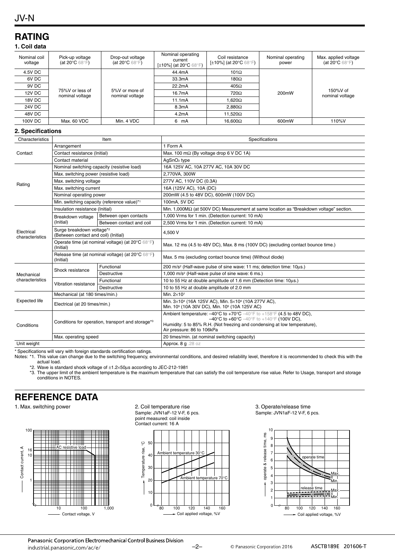#### JV-N

## **RATING**

#### **1. Coil data**

| Nominal coil<br>voltage | Pick-up voltage<br>(at 20 $\mathrm{^{\circ}C}$ 68 $\mathrm{^{\circ}F}$ ) | Drop-out voltage<br>(at 20 $\mathrm{^{\circ}C}$ 68 $\mathrm{^{\circ}F}$ ) | Nominal operating<br>current<br>[ $\pm$ 10%] (at 20 $^{\circ}$ C 68 $^{\circ}$ F) | Coil resistance<br>[±10%] (at 20°C 68°F) | Nominal operating<br>power | Max. applied voltage<br>(at 20 $\degree$ C 68 $\degree$ F) |  |
|-------------------------|--------------------------------------------------------------------------|---------------------------------------------------------------------------|-----------------------------------------------------------------------------------|------------------------------------------|----------------------------|------------------------------------------------------------|--|
| 4.5V DC                 | 75%V or less of<br>nominal voltage                                       |                                                                           |                                                                                   | 44.4mA                                   | 101 $\Omega$               |                                                            |  |
| 6V DC                   |                                                                          |                                                                           | 33.3mA                                                                            | 180 $\Omega$                             | 200mW                      |                                                            |  |
| 9V DC                   |                                                                          | 5%V or more of<br>nominal voltage                                         | 22.2mA                                                                            | $405\Omega$                              |                            | 150%V of<br>nominal voltage                                |  |
| 12V DC                  |                                                                          |                                                                           | 16.7mA                                                                            | 720Ω                                     |                            |                                                            |  |
| 18V DC                  |                                                                          |                                                                           | 11.1mA                                                                            | 1.620 $\Omega$                           |                            |                                                            |  |
| 24V DC                  |                                                                          |                                                                           | 8.3mA                                                                             | $2.880\Omega$                            |                            |                                                            |  |
| 48V DC                  |                                                                          |                                                                           | 4.2mA                                                                             | $11.520\Omega$                           |                            |                                                            |  |
| 100V DC                 | Max. 60 VDC                                                              | Min. 4 VDC                                                                | 6<br>mA                                                                           | $16.600\Omega$                           | 600mW                      | 110%V                                                      |  |

#### **2. Specifications**

| Characteristics                                    |                                                                   | Item                     | Specifications                                                                                                                                                                                                                                                                                               |  |  |
|----------------------------------------------------|-------------------------------------------------------------------|--------------------------|--------------------------------------------------------------------------------------------------------------------------------------------------------------------------------------------------------------------------------------------------------------------------------------------------------------|--|--|
|                                                    | Arrangement                                                       |                          | 1 Form A                                                                                                                                                                                                                                                                                                     |  |  |
| Contact<br>Rating<br>Electrical<br>characteristics | Contact resistance (Initial)                                      |                          | Max. 100 m $\Omega$ (By voltage drop 6 V DC 1A)                                                                                                                                                                                                                                                              |  |  |
|                                                    | Contact material                                                  |                          | AgSnO <sub>2</sub> type                                                                                                                                                                                                                                                                                      |  |  |
|                                                    | Nominal switching capacity (resistive load)                       |                          | 16A 125V AC, 10A 277V AC, 10A 30V DC                                                                                                                                                                                                                                                                         |  |  |
|                                                    | Max. switching power (resistive load)                             |                          | 2.770VA. 300W                                                                                                                                                                                                                                                                                                |  |  |
|                                                    | Max. switching voltage                                            |                          | 277V AC, 110V DC (0.3A)                                                                                                                                                                                                                                                                                      |  |  |
|                                                    | Max. switching current                                            |                          | 16A (125V AC), 10A (DC)                                                                                                                                                                                                                                                                                      |  |  |
|                                                    | Nominal operating power                                           |                          | 200mW (4.5 to 48V DC), 600mW (100V DC)                                                                                                                                                                                                                                                                       |  |  |
|                                                    | Min. switching capacity (reference value)*1                       |                          | 100mA, 5V DC                                                                                                                                                                                                                                                                                                 |  |  |
|                                                    | Insulation resistance (Initial)                                   |                          | Min. 1,000 $M\Omega$ (at 500V DC) Measurement at same location as "Breakdown voltage" section.                                                                                                                                                                                                               |  |  |
|                                                    | Breakdown voltage                                                 | Between open contacts    | 1,000 Vrms for 1 min. (Detection current: 10 mA)                                                                                                                                                                                                                                                             |  |  |
|                                                    | (Initial)                                                         | Between contact and coil | 2,500 Vrms for 1 min. (Detection current: 10 mA)                                                                                                                                                                                                                                                             |  |  |
|                                                    | Surge breakdown voltage*2<br>(Between contact and coil) (Initial) |                          | 4.500 V                                                                                                                                                                                                                                                                                                      |  |  |
|                                                    | Operate time (at nominal voltage) (at 20°C 68°F)<br>(Initial)     |                          | Max. 12 ms (4.5 to 48V DC), Max. 8 ms (100V DC) (excluding contact bounce time.)                                                                                                                                                                                                                             |  |  |
|                                                    | Release time (at nominal voltage) (at 20°C 68°F)<br>(Initial)     |                          | Max. 5 ms (excluding contact bounce time) (Without diode)                                                                                                                                                                                                                                                    |  |  |
|                                                    | Shock resistance                                                  | Functional               | 200 m/s <sup>2</sup> (Half-wave pulse of sine wave: 11 ms; detection time: 10us.)                                                                                                                                                                                                                            |  |  |
| Mechanical                                         |                                                                   | Destructive              | 1,000 m/s <sup>2</sup> (Half-wave pulse of sine wave: 6 ms.)                                                                                                                                                                                                                                                 |  |  |
| characteristics                                    | Vibration resistance                                              | Functional               | 10 to 55 Hz at double amplitude of 1.6 mm (Detection time: 10us.)                                                                                                                                                                                                                                            |  |  |
|                                                    |                                                                   | Destructive              | 10 to 55 Hz at double amplitude of 2.0 mm                                                                                                                                                                                                                                                                    |  |  |
| <b>Expected life</b>                               | Mechanical (at 180 times/min.)                                    |                          | Min. 2×107                                                                                                                                                                                                                                                                                                   |  |  |
|                                                    | Electrical (at 20 times/min.)                                     |                          | Min. 3×104 (16A 125V AC), Min. 5×104 (10A 277V AC),<br>Min. 10 <sup>5</sup> (10A 30V DC), Min. 10 <sup>5</sup> (10A 125V AC)                                                                                                                                                                                 |  |  |
| Conditions                                         | Conditions for operation, transport and storage*3                 |                          | Ambient temperature: $-40^{\circ}$ C to $+70^{\circ}$ C $-40^{\circ}$ F to $+158^{\circ}$ F (4.5 to 48V DC),<br>$-40^{\circ}$ C to $+60^{\circ}$ C $-40^{\circ}$ F to $+140^{\circ}$ F (100V DC).<br>Humidity: 5 to 85% R.H. (Not freezing and condensing at low temperature),<br>Air pressure: 86 to 106kPa |  |  |
|                                                    | Max. operating speed                                              |                          | 20 times/min. (at nominal switching capacity)                                                                                                                                                                                                                                                                |  |  |
| Unit weight                                        |                                                                   |                          | Approx. 8 g . 28 oz                                                                                                                                                                                                                                                                                          |  |  |

\* Specifications will vary with foreign standards certification ratings.

Notes: \*1. This value can change due to the switching frequency, environmental conditions, and desired reliability level, therefore it is recommended to check this with the actual load.

\*2. Wave is standard shock voltage of ±1.2×50μs according to JEC-212-1981

\*3. The upper limit of the ambient temperature is the maximum temperature that can satisfy the coil temperature rise value. Refer to Usage, transport and storage conditions in NOTES.

## **REFERENCE DATA**

#### 1. Max. switching power example 2. Coil temperature rise



Sample: JVN1aF-12 V-F, 6 pcs. point measured: coil inside Contact current: 16 A



3. Operate/release time Sample: JVN1aF-12 V-F, 6 pcs.

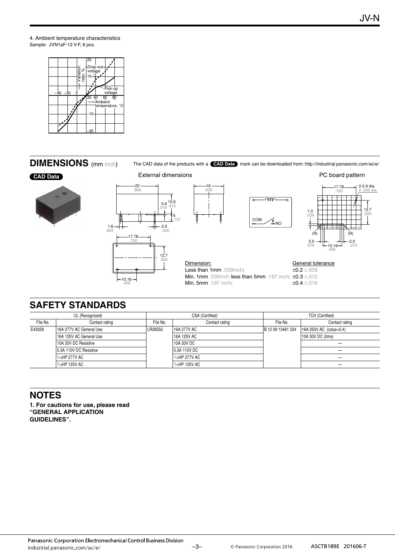4. Ambient temperature characteristics Sample: JVN1aF-12 V-F, 6 pcs.



#### **DIMENSIONS** (mm inch)

The CAD data of the products with a **CAD Data** mark can be downloaded from: http://industrial.panasonic.com/ac/e/

#### **CAD Data**









Dimension: Less than 1mm .039inch: **Min. 1mm** .039inch less than 5mm .197 inch:  $\pm$ 0.3  $\pm$ .012 Min. 5mm .197 inch: General tolerance ±0.2 ±.008 ±0.4 ±.016

# **SAFETY STANDARDS**

| UL (Recognized) |                         | CSA (Certified) |                | <b>TÜV</b> (Certified) |                                |
|-----------------|-------------------------|-----------------|----------------|------------------------|--------------------------------|
| File No.        | Contact rating          | File No.        | Contact rating | File No.               | Contact rating                 |
| E43028          | 16A 277V AC General Use | LR26550         | 16A 277V AC    | B 12 09 13461 334      | 16A 250V AC $(cos \phi = 0.4)$ |
|                 | 16A 125V AC General Use |                 | 16A 125V AC    |                        | 10A 30V DC (0ms)               |
|                 | 10A 30V DC Resistive    |                 | 10A 30V DC     |                        | -                              |
|                 | 0.3A 110V DC Resistive  |                 | 0.3A 110V DC   |                        | -                              |
|                 | 1/10HP 277V AC          |                 | 1/10HP 277V AC |                        | _                              |
|                 | 1/10HP 125V AC          |                 | 1/10HP 125V AC |                        |                                |

.630

#### **NOTES**

**1. For cautions for use, please read "GENERAL APPLICATION GUIDELINES".**